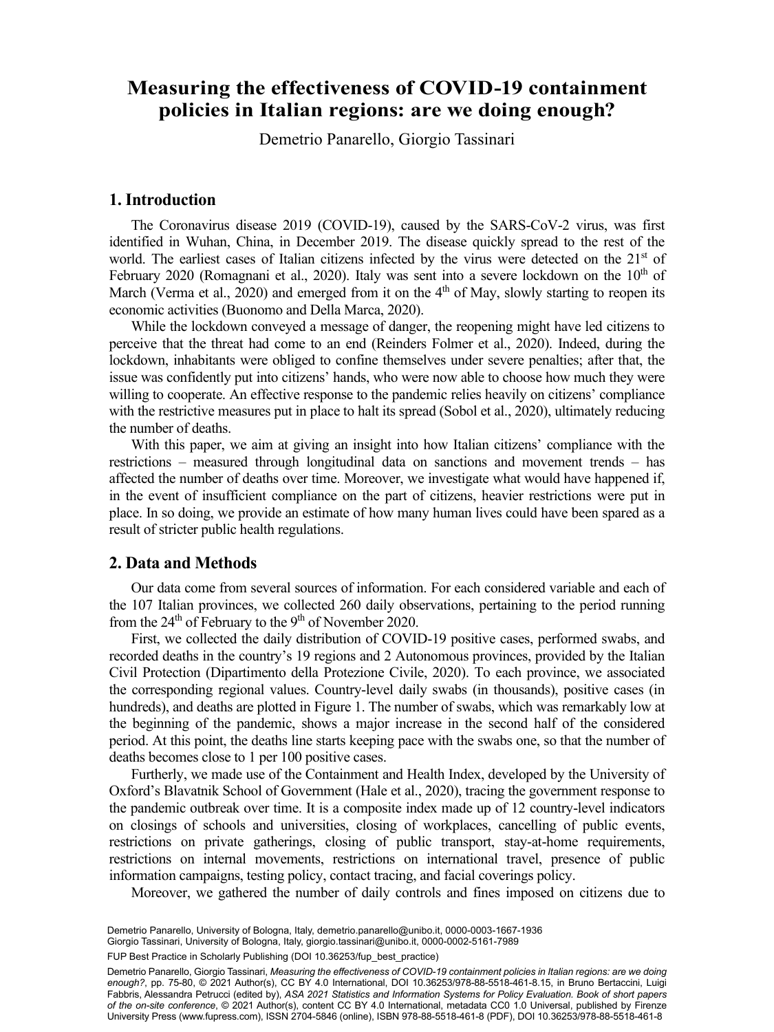# **Measuring the effectiveness of COVID-19 containment policies in Italian regions: are we doing enough?**

Demetrio Panarello Giorgio Tassinari Demetrio Panarello, Giorgio Tassinari

### **1. Introduction**

The Coronavirus disease 2019 (COVID-19), caused by the SARS-CoV-2 virus, was first identified in Wuhan, China, in December 2019. The disease quickly spread to the rest of the world. The earliest cases of Italian citizens infected by the virus were detected on the 21<sup>st</sup> of February 2020 (Romagnani et al., 2020). Italy was sent into a severe lockdown on the  $10<sup>th</sup>$  of March (Verma et al., 2020) and emerged from it on the  $4<sup>th</sup>$  of May, slowly starting to reopen its economic activities (Buonomo and Della Marca, 2020).

While the lockdown conveyed a message of danger, the reopening might have led citizens to perceive that the threat had come to an end (Reinders Folmer et al., 2020). Indeed, during the lockdown, inhabitants were obliged to confine themselves under severe penalties; after that, the issue was confidently put into citizens' hands, who were now able to choose how much they were willing to cooperate. An effective response to the pandemic relies heavily on citizens' compliance with the restrictive measures put in place to halt its spread (Sobol et al., 2020), ultimately reducing the number of deaths.

With this paper, we aim at giving an insight into how Italian citizens' compliance with the restrictions – measured through longitudinal data on sanctions and movement trends – has affected the number of deaths over time. Moreover, we investigate what would have happened if, in the event of insufficient compliance on the part of citizens, heavier restrictions were put in place. In so doing, we provide an estimate of how many human lives could have been spared as a result of stricter public health regulations.

#### **2. Data and Methods**

Our data come from several sources of information. For each considered variable and each of the 107 Italian provinces, we collected 260 daily observations, pertaining to the period running from the  $24<sup>th</sup>$  of February to the 9<sup>th</sup> of November 2020.

First, we collected the daily distribution of COVID-19 positive cases, performed swabs, and recorded deaths in the country's 19 regions and 2 Autonomous provinces, provided by the Italian Civil Protection (Dipartimento della Protezione Civile, 2020). To each province, we associated the corresponding regional values. Country-level daily swabs (in thousands), positive cases (in hundreds), and deaths are plotted in Figure 1. The number of swabs, which was remarkably low at the beginning of the pandemic, shows a major increase in the second half of the considered period. At this point, the deaths line starts keeping pace with the swabs one, so that the number of deaths becomes close to 1 per 100 positive cases.

Furtherly, we made use of the Containment and Health Index, developed by the University of Oxford's Blavatnik School of Government (Hale et al., 2020), tracing the government response to the pandemic outbreak over time. It is a composite index made up of 12 country-level indicators on closings of schools and universities, closing of workplaces, cancelling of public events, restrictions on private gatherings, closing of public transport, stay-at-home requirements, restrictions on internal movements, restrictions on international travel, presence of public information campaigns, testing policy, contact tracing, and facial coverings policy.

Moreover, we gathered the number of daily controls and fines imposed on citizens due to

Demetrio Panarello, University of Bologna, Italy, [demetrio.panarello@unibo.it](mailto:demetrio.panarello@unibo.it), [0000-0003-1667-1936](https://orcid.org/0000-0003-1667-1936) Giorgio Tassinari, University of Bologna, Italy, [giorgio.tassinari@unibo.it](mailto:giorgio.tassinari@unibo.it), [0000-0002-5161-7989](https://orcid.org/0000-0002-5161-7989)

FUP Best Practice in Scholarly Publishing (DOI [10.36253/fup\\_best\\_practice](https://doi.org/10.36253/fup_best_practice))

Demetrio Panarello, Giorgio Tassinari, *Measuring the effectiveness of COVID-19 containment policies in Italian regions: are we doing enough?*, pp. 75-80, © 2021 Author(s), [CC BY 4.0 International,](http://creativecommons.org/licenses/by/4.0/legalcode) DOI [10.36253/978-88-5518-461-8.15](https://doi.org/10.36253/978-88-5518-461-8.15), in Bruno Bertaccini, Luigi Fabbris, Alessandra Petrucci (edited by), *ASA 2021 Statistics and Information Systems for Policy Evaluation. Book of short papers of the on-site conference*, © 2021 Author(s), content [CC BY 4.0 International,](http://creativecommons.org/licenses/by/4.0/legalcode) metadata [CC0 1.0 Universal](https://creativecommons.org/publicdomain/zero/1.0/legalcode), published by Firenze University Press [\(www.fupress.com\)](http://www.fupress.com), ISSN 2704-5846 (online), ISBN 978-88-5518-461-8 (PDF), DOI [10.36253/978-88-5518-461-8](https://doi.org/10.36253/978-88-5518-461-8)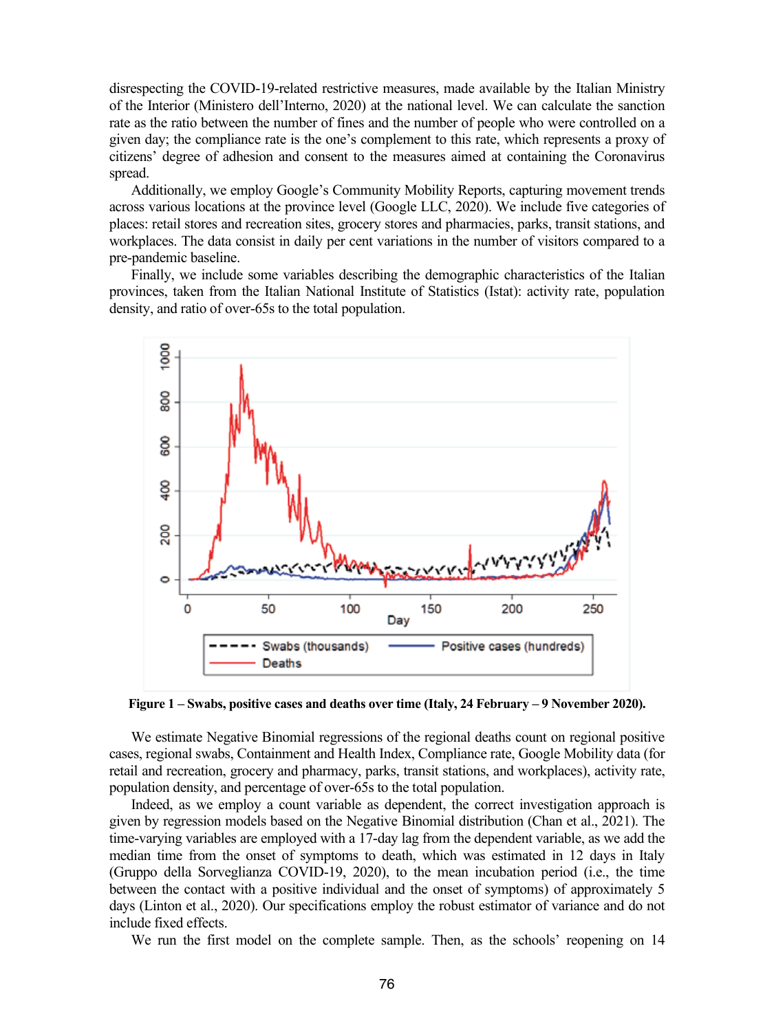disrespecting the COVID-19-related restrictive measures, made available by the Italian Ministry of the Interior (Ministero dell'Interno, 2020) at the national level. We can calculate the sanction rate as the ratio between the number of fines and the number of people who were controlled on a given day; the compliance rate is the one's complement to this rate, which represents a proxy of citizens' degree of adhesion and consent to the measures aimed at containing the Coronavirus spread.

Additionally, we employ Google's Community Mobility Reports, capturing movement trends across various locations at the province level (Google LLC, 2020). We include five categories of places: retail stores and recreation sites, grocery stores and pharmacies, parks, transit stations, and workplaces. The data consist in daily per cent variations in the number of visitors compared to a pre-pandemic baseline.

Finally, we include some variables describing the demographic characteristics of the Italian provinces, taken from the Italian National Institute of Statistics (Istat): activity rate, population density, and ratio of over-65s to the total population.



**Figure 1 – Swabs, positive cases and deaths over time (Italy, 24 February – 9 November 2020).**

We estimate Negative Binomial regressions of the regional deaths count on regional positive cases, regional swabs, Containment and Health Index, Compliance rate, Google Mobility data (for retail and recreation, grocery and pharmacy, parks, transit stations, and workplaces), activity rate, population density, and percentage of over-65s to the total population.

Indeed, as we employ a count variable as dependent, the correct investigation approach is given by regression models based on the Negative Binomial distribution (Chan et al., 2021). The time-varying variables are employed with a 17-day lag from the dependent variable, as we add the median time from the onset of symptoms to death, which was estimated in 12 days in Italy (Gruppo della Sorveglianza COVID-19, 2020), to the mean incubation period (i.e., the time between the contact with a positive individual and the onset of symptoms) of approximately 5 days (Linton et al., 2020). Our specifications employ the robust estimator of variance and do not include fixed effects.

We run the first model on the complete sample. Then, as the schools' reopening on 14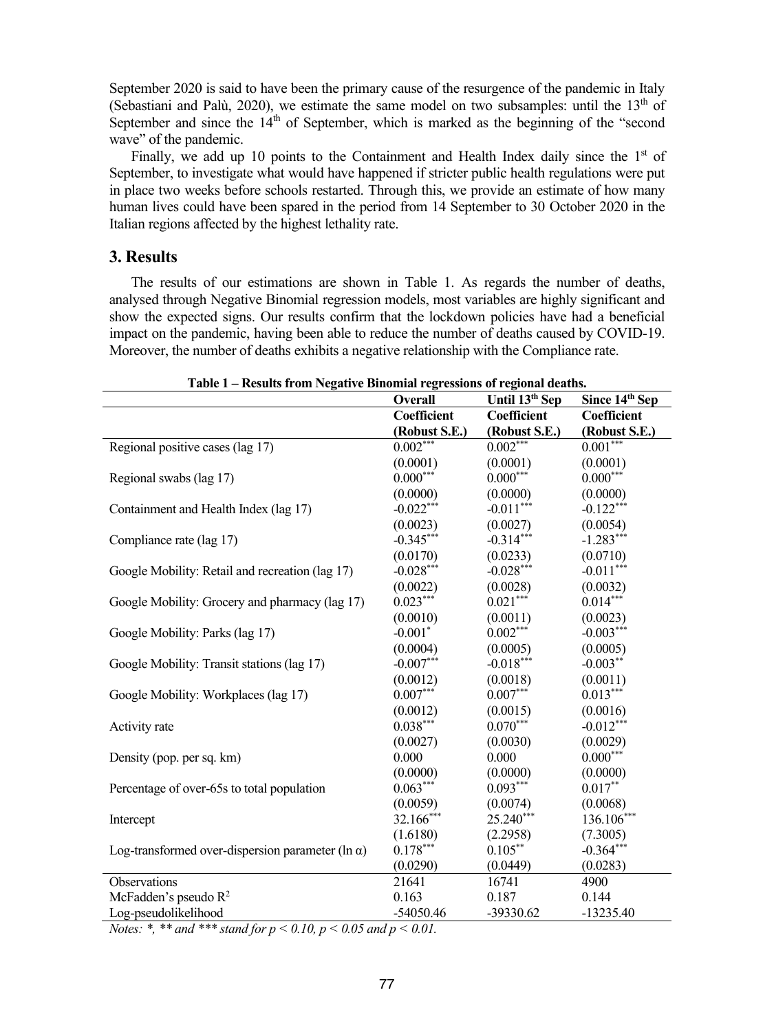September 2020 is said to have been the primary cause of the resurgence of the pandemic in Italy (Sebastiani and Palù, 2020), we estimate the same model on two subsamples: until the  $13<sup>th</sup>$  of September and since the  $14<sup>th</sup>$  of September, which is marked as the beginning of the "second" wave" of the pandemic.

Finally, we add up 10 points to the Containment and Health Index daily since the  $1<sup>st</sup>$  of September, to investigate what would have happened if stricter public health regulations were put in place two weeks before schools restarted. Through this, we provide an estimate of how many human lives could have been spared in the period from 14 September to 30 October 2020 in the Italian regions affected by the highest lethality rate.

#### **3. Results**

The results of our estimations are shown in Table 1. As regards the number of deaths, analysed through Negative Binomial regression models, most variables are highly significant and show the expected signs. Our results confirm that the lockdown policies have had a beneficial impact on the pandemic, having been able to reduce the number of deaths caused by COVID-19. Moreover, the number of deaths exhibits a negative relationship with the Compliance rate.

|                                                          | <b>Overall</b>        | Until 13 <sup>th</sup> Sep | Since 14th Sep |
|----------------------------------------------------------|-----------------------|----------------------------|----------------|
|                                                          | Coefficient           | Coefficient                | Coefficient    |
|                                                          | (Robust S.E.)         | (Robust S.E.)              | (Robust S.E.)  |
| Regional positive cases $\overline{(\text{lag } 17)}$    | $0.002***$            | $0.002***$                 | $0.001***$     |
|                                                          | (0.0001)              | (0.0001)                   | (0.0001)       |
| Regional swabs (lag 17)                                  | $0.000***$            | $0.000***$                 | $0.000***$     |
|                                                          | (0.0000)              | (0.0000)                   | (0.0000)       |
| Containment and Health Index (lag 17)                    | $-0.022***$           | $-0.011***$                | $-0.122***$    |
|                                                          | (0.0023)              | (0.0027)                   | (0.0054)       |
| Compliance rate (lag 17)                                 | $-0.345***$           | $-0.314***$                | $-1.283***$    |
|                                                          | (0.0170)              | (0.0233)                   | (0.0710)       |
| Google Mobility: Retail and recreation (lag 17)          | $-0.028***$           | $-0.028***$                | $-0.011***$    |
|                                                          | (0.0022)              | (0.0028)                   | (0.0032)       |
| Google Mobility: Grocery and pharmacy (lag 17)           | $0.023***$            | $0.021***$                 | $0.014***$     |
|                                                          | (0.0010)              | (0.0011)                   | (0.0023)       |
| Google Mobility: Parks (lag 17)                          | $-0.001$ <sup>*</sup> | $0.002***$                 | $-0.003***$    |
|                                                          | (0.0004)              | (0.0005)                   | (0.0005)       |
| Google Mobility: Transit stations (lag 17)               | $-0.007***$           | $-0.018***$                | $-0.003**$     |
|                                                          | (0.0012)              | (0.0018)                   | (0.0011)       |
| Google Mobility: Workplaces (lag 17)                     | $0.007***$            | $0.007***$                 | $0.013***$     |
|                                                          | (0.0012)              | (0.0015)                   | (0.0016)       |
| Activity rate                                            | $0.038***$            | $0.070***$                 | $-0.012***$    |
|                                                          | (0.0027)              | (0.0030)                   | (0.0029)       |
| Density (pop. per sq. km)                                | 0.000                 | 0.000                      | $0.000***$     |
|                                                          | (0.0000)              | (0.0000)                   | (0.0000)       |
| Percentage of over-65s to total population               | $0.063***$            | $0.093***$                 | $0.017**$      |
|                                                          | (0.0059)              | (0.0074)                   | (0.0068)       |
| Intercept                                                | 32.166***             | $25.240***$                | 136.106***     |
|                                                          | (1.6180)              | (2.2958)                   | (7.3005)       |
| Log-transformed over-dispersion parameter (ln $\alpha$ ) | $0.178***$            | $0.105***$                 | $-0.364***$    |
|                                                          | (0.0290)              | (0.0449)                   | (0.0283)       |
| Observations                                             | 21641                 | 16741                      | 4900           |
| McFadden's pseudo $R^2$                                  | 0.163                 | 0.187                      | 0.144          |
| Log-pseudolikelihood                                     | $-54050.46$           | -39330.62                  | $-13235.40$    |

**Table 1 – Results from Negative Binomial regressions of regional deaths.**

*Notes: \*, \*\* and \*\*\* stand for p < 0.10, p < 0.05 and p < 0.01.*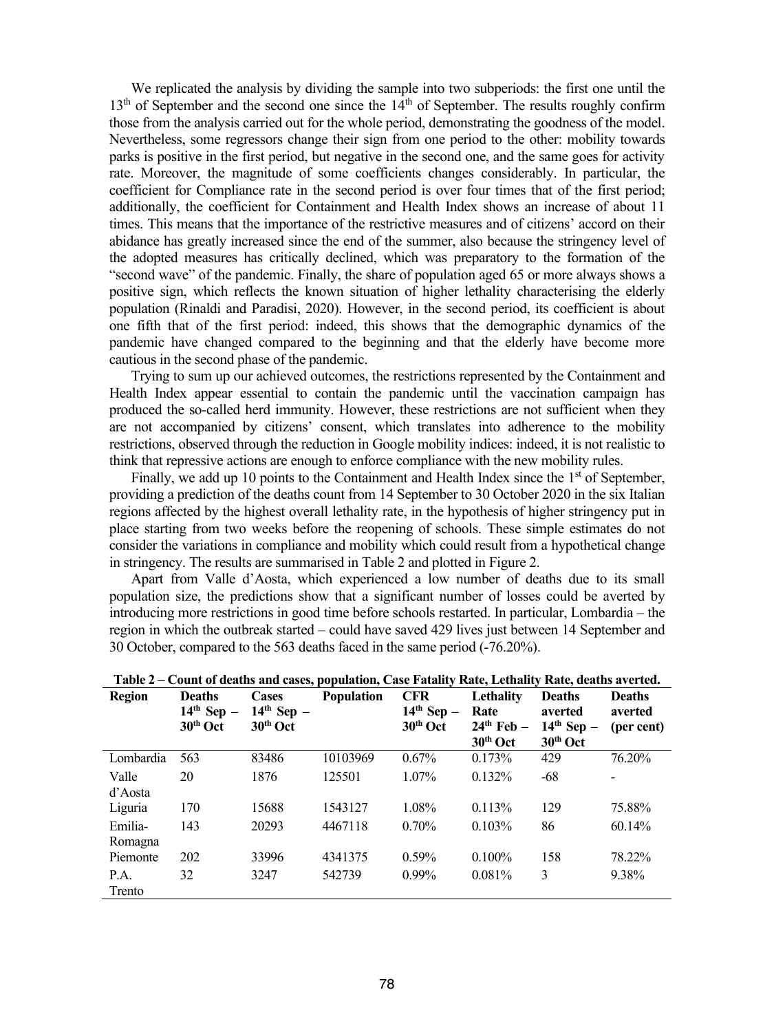We replicated the analysis by dividing the sample into two subperiods: the first one until the  $13<sup>th</sup>$  of September and the second one since the  $14<sup>th</sup>$  of September. The results roughly confirm those from the analysis carried out for the whole period, demonstrating the goodness of the model. Nevertheless, some regressors change their sign from one period to the other: mobility towards parks is positive in the first period, but negative in the second one, and the same goes for activity rate. Moreover, the magnitude of some coefficients changes considerably. In particular, the coefficient for Compliance rate in the second period is over four times that of the first period; additionally, the coefficient for Containment and Health Index shows an increase of about 11 times. This means that the importance of the restrictive measures and of citizens' accord on their abidance has greatly increased since the end of the summer, also because the stringency level of the adopted measures has critically declined, which was preparatory to the formation of the "second wave" of the pandemic. Finally, the share of population aged 65 or more always shows a positive sign, which reflects the known situation of higher lethality characterising the elderly population (Rinaldi and Paradisi, 2020). However, in the second period, its coefficient is about one fifth that of the first period: indeed, this shows that the demographic dynamics of the pandemic have changed compared to the beginning and that the elderly have become more cautious in the second phase of the pandemic.

Trying to sum up our achieved outcomes, the restrictions represented by the Containment and Health Index appear essential to contain the pandemic until the vaccination campaign has produced the so-called herd immunity. However, these restrictions are not sufficient when they are not accompanied by citizens' consent, which translates into adherence to the mobility restrictions, observed through the reduction in Google mobility indices: indeed, it is not realistic to think that repressive actions are enough to enforce compliance with the new mobility rules.

Finally, we add up 10 points to the Containment and Health Index since the  $1<sup>st</sup>$  of September, providing a prediction of the deaths count from 14 September to 30 October 2020 in the six Italian regions affected by the highest overall lethality rate, in the hypothesis of higher stringency put in place starting from two weeks before the reopening of schools. These simple estimates do not consider the variations in compliance and mobility which could result from a hypothetical change in stringency. The results are summarised in Table 2 and plotted in Figure 2.

Apart from Valle d'Aosta, which experienced a low number of deaths due to its small population size, the predictions show that a significant number of losses could be averted by introducing more restrictions in good time before schools restarted. In particular, Lombardia – the region in which the outbreak started – could have saved 429 lives just between 14 September and 30 October, compared to the 563 deaths faced in the same period (-76.20%).

|               |               |              | Table 2 – Count of deaths and cases, population, Case Fatality Rate, Lethality Rate, deaths averted. |              |              |                      |               |
|---------------|---------------|--------------|------------------------------------------------------------------------------------------------------|--------------|--------------|----------------------|---------------|
| <b>Region</b> | <b>Deaths</b> | <b>Cases</b> | <b>Population</b>                                                                                    | <b>CFR</b>   | Lethality    | <b>Deaths</b>        | <b>Deaths</b> |
|               | $14th$ Sep -  | $14th$ Sep - |                                                                                                      | $14th$ Sep – | Rate         | averted              | averted       |
|               | $30th$ Oct    | $30th$ Oct   |                                                                                                      | $30th$ Oct   | $24th$ Feb – | $14th$ Sep –         | (per cent)    |
|               |               |              |                                                                                                      |              | $30th$ Oct   | 30 <sup>th</sup> Oct |               |
| Lombardia     | 563           | 83486        | 10103969                                                                                             | $0.67\%$     | 0.173%       | 429                  | 76.20%        |
| Valle         | 20            | 1876         | 125501                                                                                               | $1.07\%$     | 0.132%       | -68                  |               |
| d'Aosta       |               |              |                                                                                                      |              |              |                      |               |
| Liguria       | 170           | 15688        | 1543127                                                                                              | 1.08%        | 0.113%       | 129                  | 75.88%        |
| Emilia-       | 143           | 20293        | 4467118                                                                                              | $0.70\%$     | $0.103\%$    | 86                   | 60.14%        |
| Romagna       |               |              |                                                                                                      |              |              |                      |               |
| Piemonte      | 202           | 33996        | 4341375                                                                                              | 0.59%        | $0.100\%$    | 158                  | 78.22%        |
| P.A.          | 32            | 3247         | 542739                                                                                               | $0.99\%$     | 0.081%       | 3                    | 9.38%         |
| Trento        |               |              |                                                                                                      |              |              |                      |               |

| Table 2 – Count of deaths and cases, population, Case Fatality Rate, Lethality Rate, deaths averted. |
|------------------------------------------------------------------------------------------------------|
|------------------------------------------------------------------------------------------------------|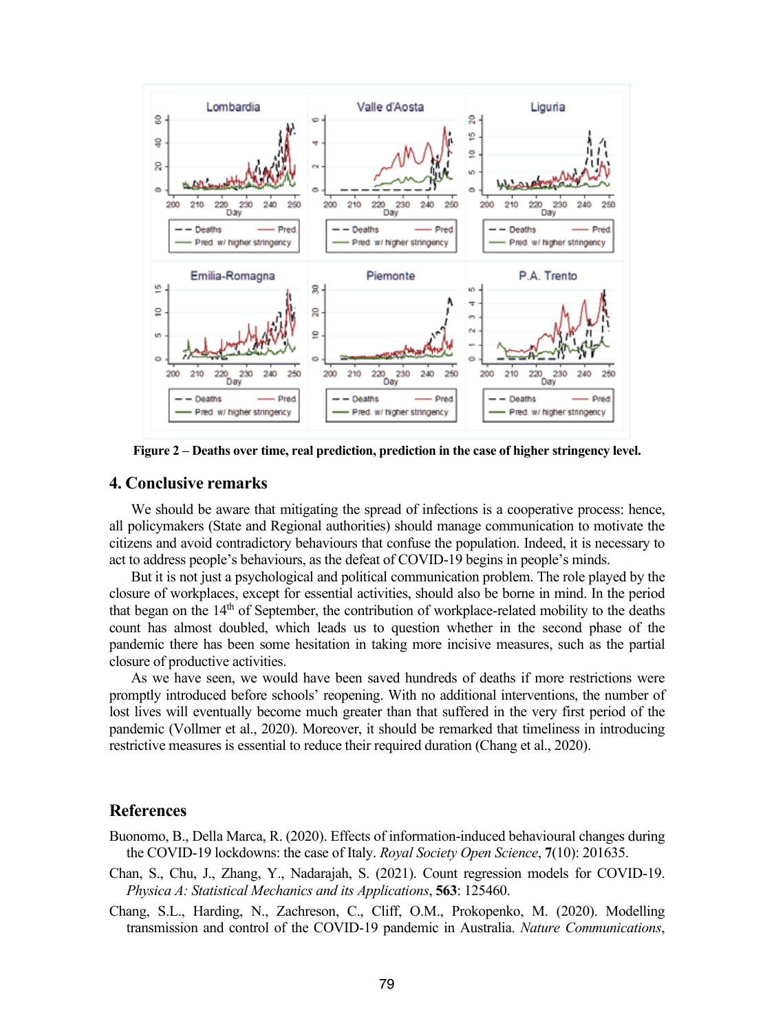

**Figure 2 – Deaths over time, real prediction, prediction in the case of higher stringency level.**

#### **4. Conclusive remarks**

We should be aware that mitigating the spread of infections is a cooperative process: hence, all policymakers (State and Regional authorities) should manage communication to motivate the citizens and avoid contradictory behaviours that confuse the population. Indeed, it is necessary to act to address people's behaviours, as the defeat of COVID-19 begins in people's minds.

But it is not just a psychological and political communication problem. The role played by the closure of workplaces, except for essential activities, should also be borne in mind. In the period that began on the  $14<sup>th</sup>$  of September, the contribution of workplace-related mobility to the deaths count has almost doubled, which leads us to question whether in the second phase of the pandemic there has been some hesitation in taking more incisive measures, such as the partial closure of productive activities.

As we have seen, we would have been saved hundreds of deaths if more restrictions were promptly introduced before schools' reopening. With no additional interventions, the number of lost lives will eventually become much greater than that suffered in the very first period of the pandemic (Vollmer et al., 2020). Moreover, it should be remarked that timeliness in introducing restrictive measures is essential to reduce their required duration (Chang et al., 2020).

## **References**

- Buonomo, B., Della Marca, R. (2020). Effects of information-induced behavioural changes during the COVID-19 lockdowns: the case of Italy. *Royal Society Open Science*, **7**(10): 201635.
- Chan, S., Chu, J., Zhang, Y., Nadarajah, S. (2021). Count regression models for COVID-19. *Physica A: Statistical Mechanics and its Applications*, **563**: 125460.
- Chang, S.L., Harding, N., Zachreson, C., Cliff, O.M., Prokopenko, M. (2020). Modelling transmission and control of the COVID-19 pandemic in Australia. *Nature Communications*,